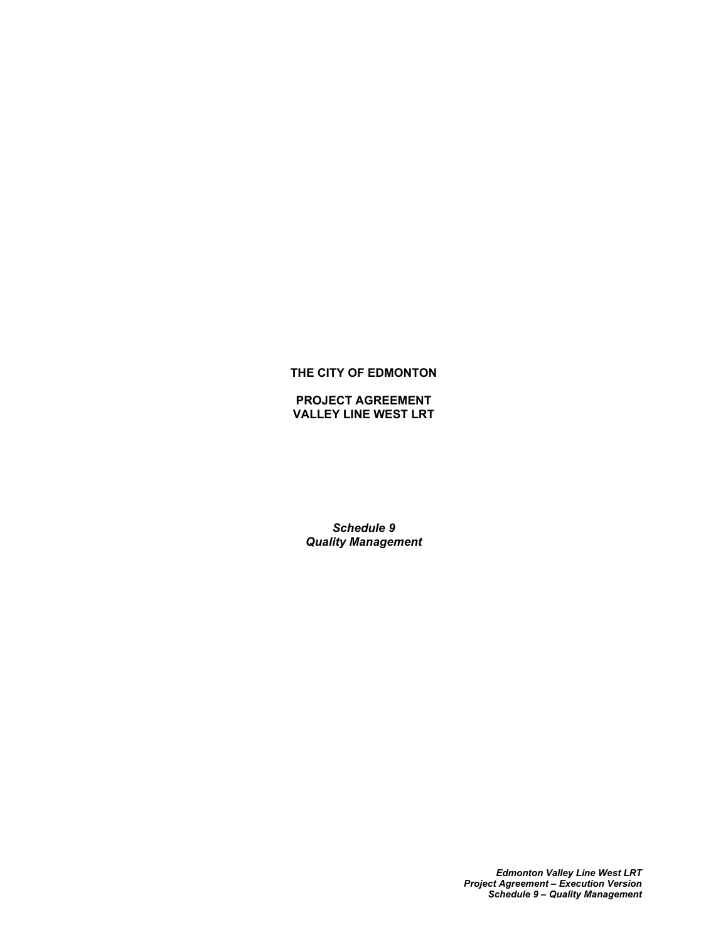# **THE CITY OF EDMONTON**

**PROJECT AGREEMENT VALLEY LINE WEST LRT**

*Schedule 9 Quality Management*

> *Edmonton Valley Line West LRT Project Agreement – Execution Version Schedule 9 – Quality Management*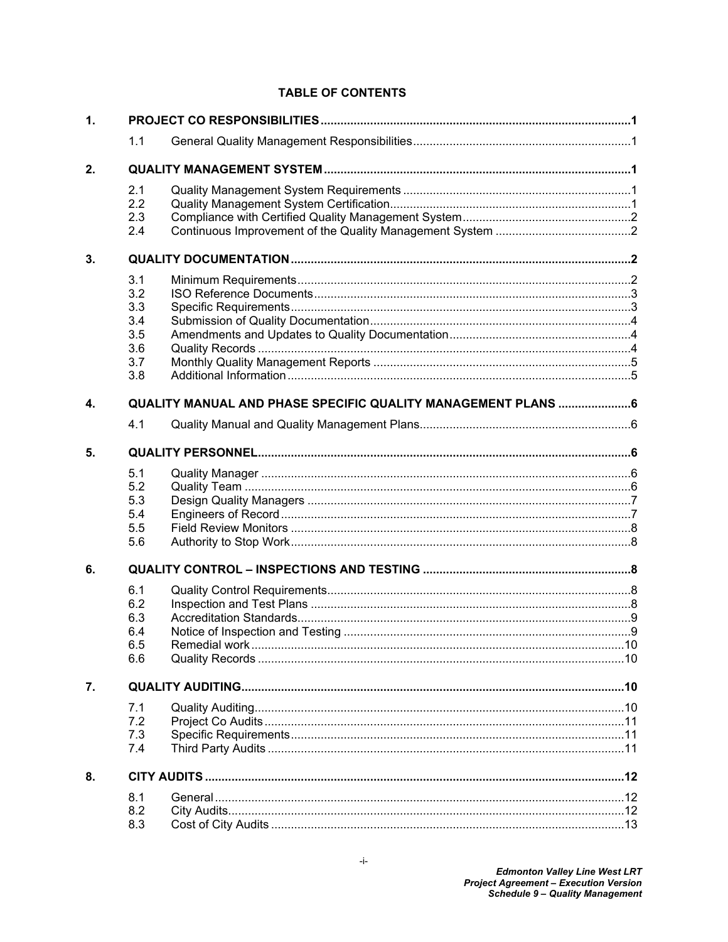# **TABLE OF CONTENTS**

| $\mathbf{1}$ . |     |                                                              |  |  |
|----------------|-----|--------------------------------------------------------------|--|--|
|                | 1.1 |                                                              |  |  |
| 2.             |     |                                                              |  |  |
|                | 2.1 |                                                              |  |  |
|                | 2.2 |                                                              |  |  |
|                | 2.3 |                                                              |  |  |
|                | 2.4 |                                                              |  |  |
| 3.             |     |                                                              |  |  |
|                | 3.1 |                                                              |  |  |
|                | 3.2 |                                                              |  |  |
|                | 3.3 |                                                              |  |  |
|                | 3.4 |                                                              |  |  |
|                | 3.5 |                                                              |  |  |
|                | 3.6 |                                                              |  |  |
|                | 3.7 |                                                              |  |  |
|                | 3.8 |                                                              |  |  |
|                |     |                                                              |  |  |
| 4.             |     | QUALITY MANUAL AND PHASE SPECIFIC QUALITY MANAGEMENT PLANS 6 |  |  |
|                | 4.1 |                                                              |  |  |
| 5.             |     |                                                              |  |  |
|                | 5.1 |                                                              |  |  |
|                | 5.2 |                                                              |  |  |
|                | 5.3 |                                                              |  |  |
|                | 5.4 |                                                              |  |  |
|                | 5.5 |                                                              |  |  |
|                | 5.6 |                                                              |  |  |
| 6.             |     |                                                              |  |  |
|                | 6.1 |                                                              |  |  |
|                | 6.2 |                                                              |  |  |
|                | 6.3 |                                                              |  |  |
|                | 6.4 |                                                              |  |  |
|                | 6.5 |                                                              |  |  |
|                | 6.6 |                                                              |  |  |
| 7.             |     |                                                              |  |  |
|                | 7.1 |                                                              |  |  |
|                | 7.2 |                                                              |  |  |
|                | 7.3 |                                                              |  |  |
|                | 7.4 |                                                              |  |  |
| 8.             |     |                                                              |  |  |
|                | 8.1 |                                                              |  |  |
|                | 8.2 |                                                              |  |  |
|                | 8.3 |                                                              |  |  |
|                |     |                                                              |  |  |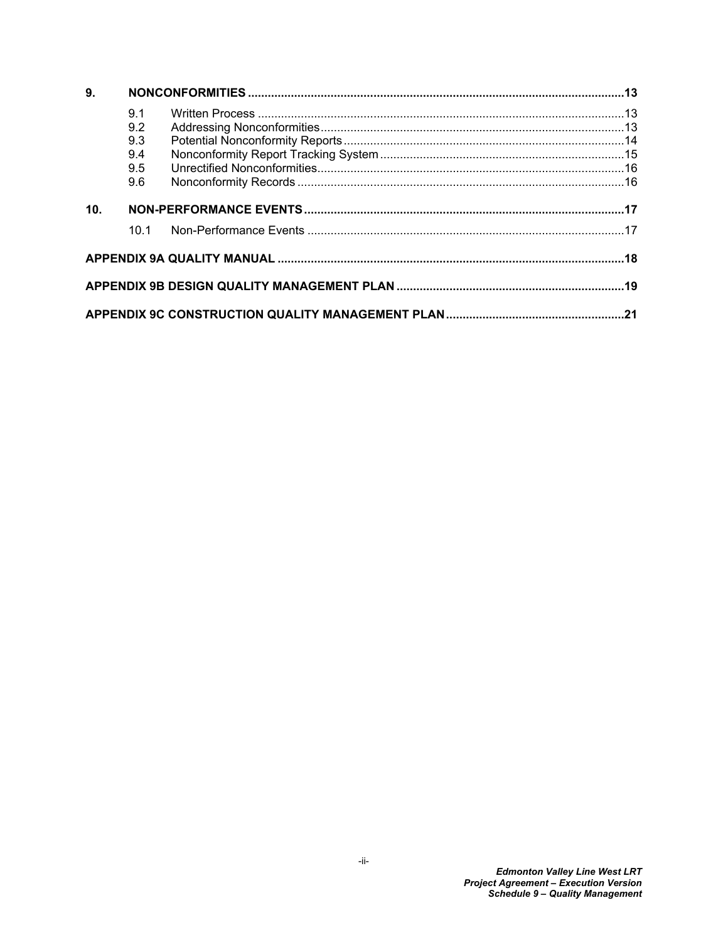| 9.              |      |  |  |
|-----------------|------|--|--|
|                 | 9.1  |  |  |
|                 | 9.2  |  |  |
|                 | 9.3  |  |  |
|                 | 9.4  |  |  |
|                 | 9.5  |  |  |
|                 | 9.6  |  |  |
| 10 <sub>1</sub> |      |  |  |
|                 | 10.1 |  |  |
|                 |      |  |  |
|                 |      |  |  |
|                 |      |  |  |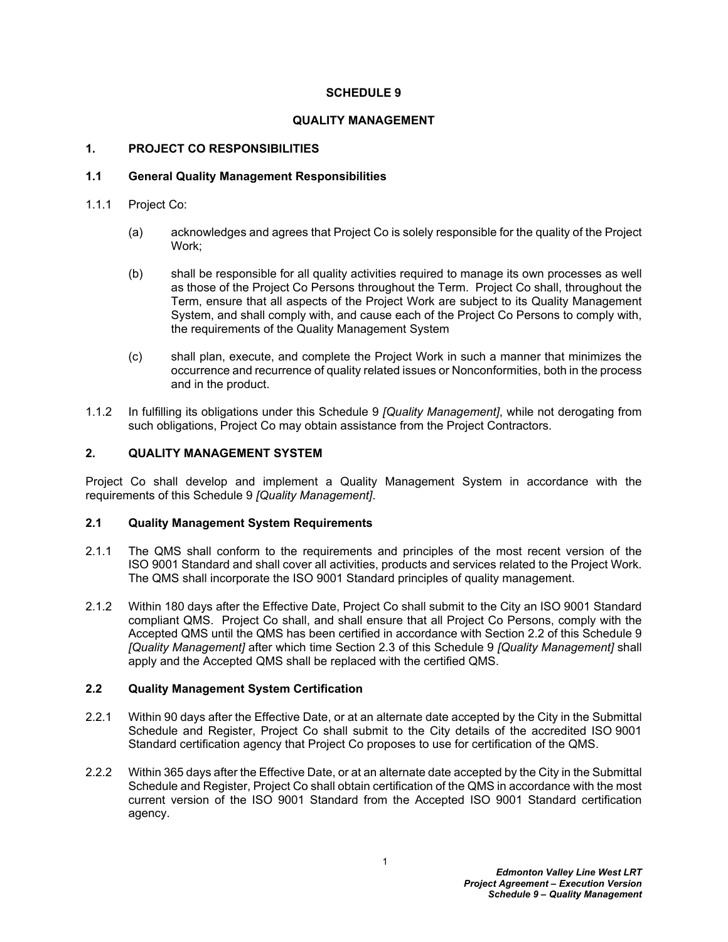## **SCHEDULE 9**

## **QUALITY MANAGEMENT**

## <span id="page-3-0"></span>**1. PROJECT CO RESPONSIBILITIES**

## <span id="page-3-1"></span>**1.1 General Quality Management Responsibilities**

- 1.1.1 Project Co:
	- (a) acknowledges and agrees that Project Co is solely responsible for the quality of the Project Work;
	- (b) shall be responsible for all quality activities required to manage its own processes as well as those of the Project Co Persons throughout the Term. Project Co shall, throughout the Term, ensure that all aspects of the Project Work are subject to its Quality Management System, and shall comply with, and cause each of the Project Co Persons to comply with, the requirements of the Quality Management System
	- (c) shall plan, execute, and complete the Project Work in such a manner that minimizes the occurrence and recurrence of quality related issues or Nonconformities, both in the process and in the product.
- 1.1.2 In fulfilling its obligations under this Schedule 9 *[Quality Management]*, while not derogating from such obligations, Project Co may obtain assistance from the Project Contractors.

## <span id="page-3-2"></span>**2. QUALITY MANAGEMENT SYSTEM**

Project Co shall develop and implement a Quality Management System in accordance with the requirements of this Schedule 9 *[Quality Management]*.

## <span id="page-3-3"></span>**2.1 Quality Management System Requirements**

- 2.1.1 The QMS shall conform to the requirements and principles of the most recent version of the ISO 9001 Standard and shall cover all activities, products and services related to the Project Work. The QMS shall incorporate the ISO 9001 Standard principles of quality management.
- 2.1.2 Within 180 days after the Effective Date, Project Co shall submit to the City an ISO 9001 Standard compliant QMS. Project Co shall, and shall ensure that all Project Co Persons, comply with the Accepted QMS until the QMS has been certified in accordance with Section [2.2](#page-3-4) of this Schedule 9 *[Quality Management]* after which time Section [2.3](#page-4-0) of this Schedule 9 *[Quality Management]* shall apply and the Accepted QMS shall be replaced with the certified QMS.

## <span id="page-3-4"></span>**2.2 Quality Management System Certification**

- 2.2.1 Within 90 days after the Effective Date, or at an alternate date accepted by the City in the Submittal Schedule and Register, Project Co shall submit to the City details of the accredited ISO 9001 Standard certification agency that Project Co proposes to use for certification of the QMS.
- 2.2.2 Within 365 days after the Effective Date, or at an alternate date accepted by the City in the Submittal Schedule and Register, Project Co shall obtain certification of the QMS in accordance with the most current version of the ISO 9001 Standard from the Accepted ISO 9001 Standard certification agency.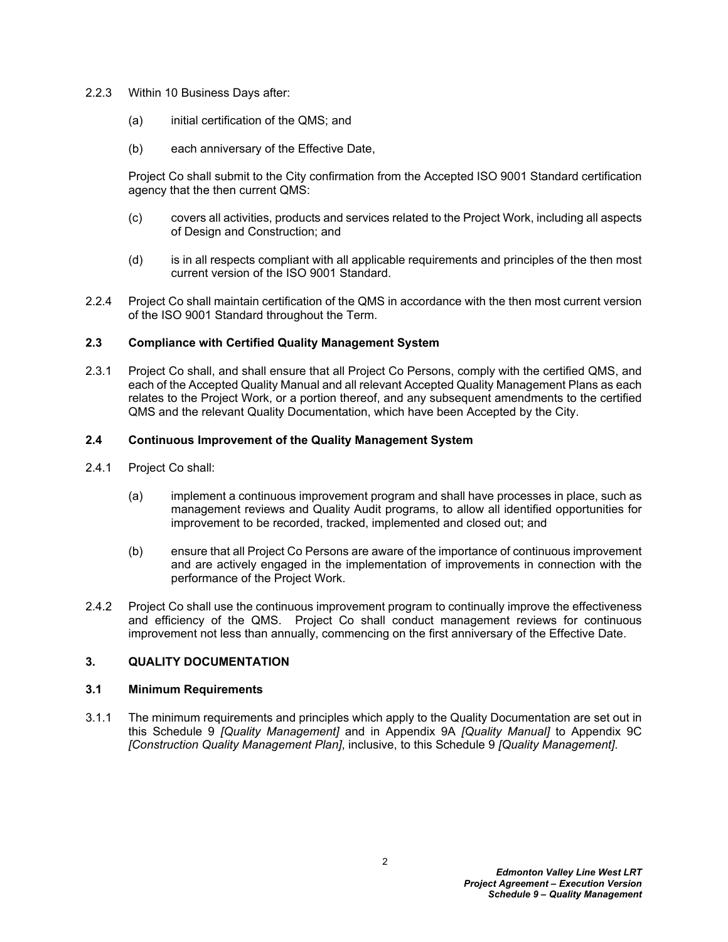- 2.2.3 Within 10 Business Days after:
	- (a) initial certification of the QMS; and
	- (b) each anniversary of the Effective Date,

Project Co shall submit to the City confirmation from the Accepted ISO 9001 Standard certification agency that the then current QMS:

- (c) covers all activities, products and services related to the Project Work, including all aspects of Design and Construction; and
- (d) is in all respects compliant with all applicable requirements and principles of the then most current version of the ISO 9001 Standard.
- 2.2.4 Project Co shall maintain certification of the QMS in accordance with the then most current version of the ISO 9001 Standard throughout the Term.

## <span id="page-4-0"></span>**2.3 Compliance with Certified Quality Management System**

2.3.1 Project Co shall, and shall ensure that all Project Co Persons, comply with the certified QMS, and each of the Accepted Quality Manual and all relevant Accepted Quality Management Plans as each relates to the Project Work, or a portion thereof, and any subsequent amendments to the certified QMS and the relevant Quality Documentation, which have been Accepted by the City.

## <span id="page-4-1"></span>**2.4 Continuous Improvement of the Quality Management System**

- 2.4.1 Project Co shall:
	- (a) implement a continuous improvement program and shall have processes in place, such as management reviews and Quality Audit programs, to allow all identified opportunities for improvement to be recorded, tracked, implemented and closed out; and
	- (b) ensure that all Project Co Persons are aware of the importance of continuous improvement and are actively engaged in the implementation of improvements in connection with the performance of the Project Work.
- 2.4.2 Project Co shall use the continuous improvement program to continually improve the effectiveness and efficiency of the QMS. Project Co shall conduct management reviews for continuous improvement not less than annually, commencing on the first anniversary of the Effective Date.

## <span id="page-4-2"></span>**3. QUALITY DOCUMENTATION**

## <span id="page-4-3"></span>**3.1 Minimum Requirements**

3.1.1 The minimum requirements and principles which apply to the Quality Documentation are set out in this Schedule 9 *[Quality Management]* and in Appendix 9A *[Quality Manual]* to Appendix 9C *[Construction Quality Management Plan]*, inclusive, to this Schedule 9 *[Quality Management]*.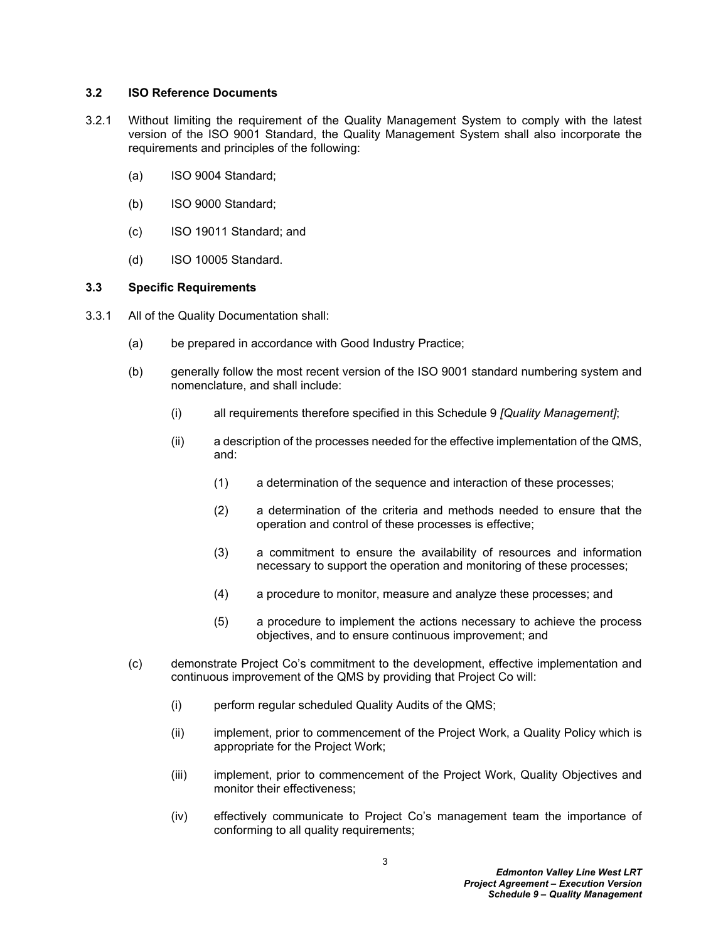#### <span id="page-5-0"></span>**3.2 ISO Reference Documents**

- 3.2.1 Without limiting the requirement of the Quality Management System to comply with the latest version of the ISO 9001 Standard, the Quality Management System shall also incorporate the requirements and principles of the following:
	- (a) ISO 9004 Standard;
	- (b) ISO 9000 Standard;
	- (c) ISO 19011 Standard; and
	- (d) ISO 10005 Standard.

## <span id="page-5-1"></span>**3.3 Specific Requirements**

- 3.3.1 All of the Quality Documentation shall:
	- (a) be prepared in accordance with Good Industry Practice;
	- (b) generally follow the most recent version of the ISO 9001 standard numbering system and nomenclature, and shall include:
		- (i) all requirements therefore specified in this Schedule 9 *[Quality Management]*;
		- (ii) a description of the processes needed for the effective implementation of the QMS, and:
			- (1) a determination of the sequence and interaction of these processes;
			- (2) a determination of the criteria and methods needed to ensure that the operation and control of these processes is effective;
			- (3) a commitment to ensure the availability of resources and information necessary to support the operation and monitoring of these processes;
			- (4) a procedure to monitor, measure and analyze these processes; and
			- (5) a procedure to implement the actions necessary to achieve the process objectives, and to ensure continuous improvement; and
	- (c) demonstrate Project Co's commitment to the development, effective implementation and continuous improvement of the QMS by providing that Project Co will:
		- (i) perform regular scheduled Quality Audits of the QMS;
		- (ii) implement, prior to commencement of the Project Work, a Quality Policy which is appropriate for the Project Work;
		- (iii) implement, prior to commencement of the Project Work, Quality Objectives and monitor their effectiveness;
		- (iv) effectively communicate to Project Co's management team the importance of conforming to all quality requirements;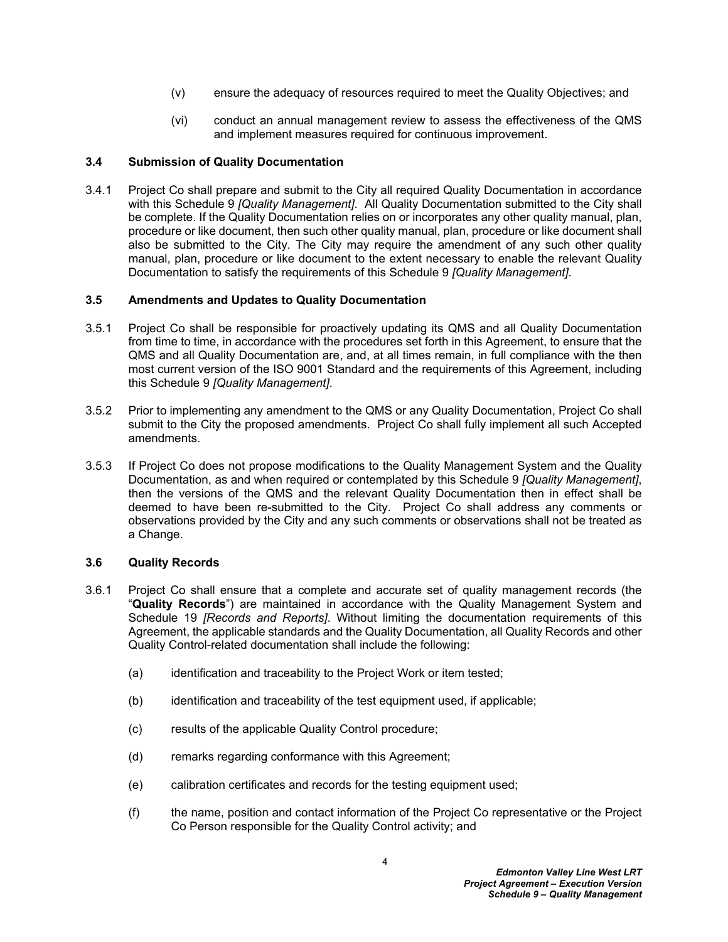- (v) ensure the adequacy of resources required to meet the Quality Objectives; and
- (vi) conduct an annual management review to assess the effectiveness of the QMS and implement measures required for continuous improvement.

## <span id="page-6-0"></span>**3.4 Submission of Quality Documentation**

3.4.1 Project Co shall prepare and submit to the City all required Quality Documentation in accordance with this Schedule 9 *[Quality Management]*. All Quality Documentation submitted to the City shall be complete. If the Quality Documentation relies on or incorporates any other quality manual, plan, procedure or like document, then such other quality manual, plan, procedure or like document shall also be submitted to the City. The City may require the amendment of any such other quality manual, plan, procedure or like document to the extent necessary to enable the relevant Quality Documentation to satisfy the requirements of this Schedule 9 *[Quality Management]*.

## <span id="page-6-1"></span>**3.5 Amendments and Updates to Quality Documentation**

- 3.5.1 Project Co shall be responsible for proactively updating its QMS and all Quality Documentation from time to time, in accordance with the procedures set forth in this Agreement, to ensure that the QMS and all Quality Documentation are, and, at all times remain, in full compliance with the then most current version of the ISO 9001 Standard and the requirements of this Agreement, including this Schedule 9 *[Quality Management]*.
- 3.5.2 Prior to implementing any amendment to the QMS or any Quality Documentation, Project Co shall submit to the City the proposed amendments. Project Co shall fully implement all such Accepted amendments.
- 3.5.3 If Project Co does not propose modifications to the Quality Management System and the Quality Documentation, as and when required or contemplated by this Schedule 9 *[Quality Management]*, then the versions of the QMS and the relevant Quality Documentation then in effect shall be deemed to have been re-submitted to the City. Project Co shall address any comments or observations provided by the City and any such comments or observations shall not be treated as a Change.

#### <span id="page-6-2"></span>**3.6 Quality Records**

- 3.6.1 Project Co shall ensure that a complete and accurate set of quality management records (the "**Quality Records**") are maintained in accordance with the Quality Management System and Schedule 19 *[Records and Reports]*. Without limiting the documentation requirements of this Agreement, the applicable standards and the Quality Documentation, all Quality Records and other Quality Control-related documentation shall include the following:
	- (a) identification and traceability to the Project Work or item tested;
	- (b) identification and traceability of the test equipment used, if applicable;
	- (c) results of the applicable Quality Control procedure;
	- (d) remarks regarding conformance with this Agreement;
	- (e) calibration certificates and records for the testing equipment used;
	- (f) the name, position and contact information of the Project Co representative or the Project Co Person responsible for the Quality Control activity; and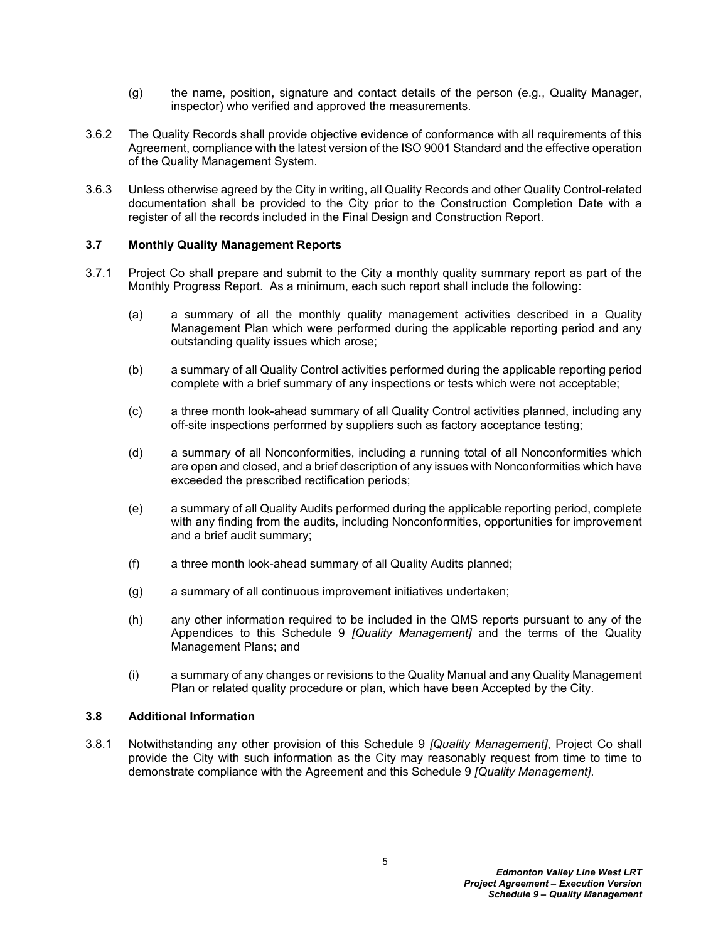- (g) the name, position, signature and contact details of the person (e.g., Quality Manager, inspector) who verified and approved the measurements.
- 3.6.2 The Quality Records shall provide objective evidence of conformance with all requirements of this Agreement, compliance with the latest version of the ISO 9001 Standard and the effective operation of the Quality Management System.
- 3.6.3 Unless otherwise agreed by the City in writing, all Quality Records and other Quality Control-related documentation shall be provided to the City prior to the Construction Completion Date with a register of all the records included in the Final Design and Construction Report.

## <span id="page-7-0"></span>**3.7 Monthly Quality Management Reports**

- 3.7.1 Project Co shall prepare and submit to the City a monthly quality summary report as part of the Monthly Progress Report. As a minimum, each such report shall include the following:
	- (a) a summary of all the monthly quality management activities described in a Quality Management Plan which were performed during the applicable reporting period and any outstanding quality issues which arose;
	- (b) a summary of all Quality Control activities performed during the applicable reporting period complete with a brief summary of any inspections or tests which were not acceptable;
	- (c) a three month look-ahead summary of all Quality Control activities planned, including any off-site inspections performed by suppliers such as factory acceptance testing;
	- (d) a summary of all Nonconformities, including a running total of all Nonconformities which are open and closed, and a brief description of any issues with Nonconformities which have exceeded the prescribed rectification periods;
	- (e) a summary of all Quality Audits performed during the applicable reporting period, complete with any finding from the audits, including Nonconformities, opportunities for improvement and a brief audit summary;
	- (f) a three month look-ahead summary of all Quality Audits planned;
	- (g) a summary of all continuous improvement initiatives undertaken;
	- (h) any other information required to be included in the QMS reports pursuant to any of the Appendices to this Schedule 9 *[Quality Management]* and the terms of the Quality Management Plans; and
	- (i) a summary of any changes or revisions to the Quality Manual and any Quality Management Plan or related quality procedure or plan, which have been Accepted by the City.

#### <span id="page-7-1"></span>**3.8 Additional Information**

3.8.1 Notwithstanding any other provision of this Schedule 9 *[Quality Management]*, Project Co shall provide the City with such information as the City may reasonably request from time to time to demonstrate compliance with the Agreement and this Schedule 9 *[Quality Management]*.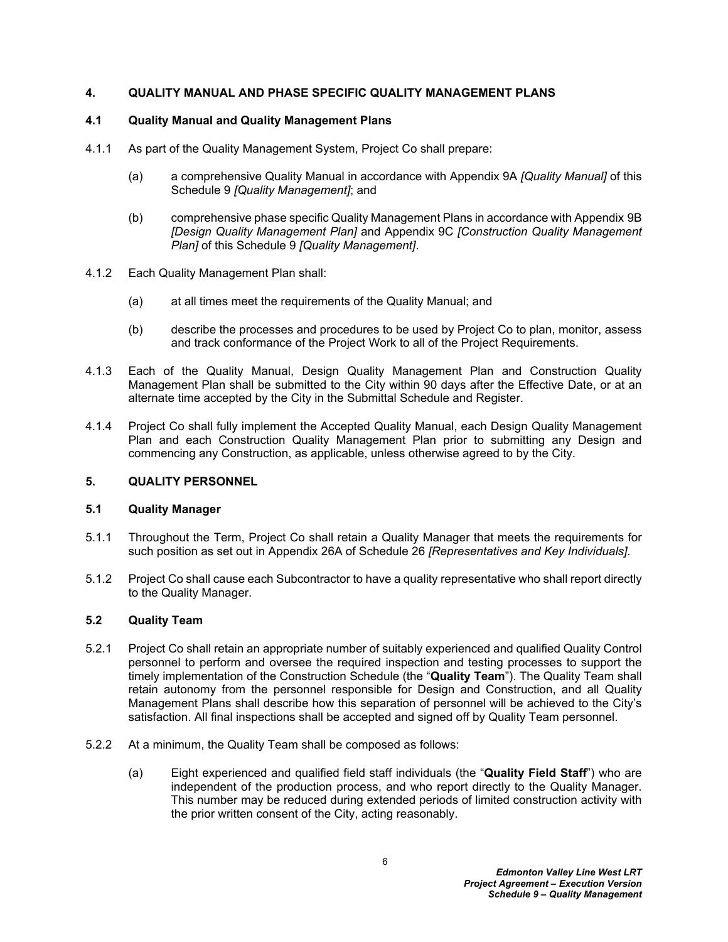## <span id="page-8-0"></span>**4. QUALITY MANUAL AND PHASE SPECIFIC QUALITY MANAGEMENT PLANS**

## <span id="page-8-1"></span>**4.1 Quality Manual and Quality Management Plans**

- 4.1.1 As part of the Quality Management System, Project Co shall prepare:
	- (a) a comprehensive Quality Manual in accordance with Appendix 9A *[Quality Manual]* of this Schedule 9 *[Quality Management]*; and
	- (b) comprehensive phase specific Quality Management Plans in accordance with Appendix 9B *[Design Quality Management Plan]* and Appendix 9C *[Construction Quality Management Plan]* of this Schedule 9 *[Quality Management]*.
- 4.1.2 Each Quality Management Plan shall:
	- (a) at all times meet the requirements of the Quality Manual; and
	- (b) describe the processes and procedures to be used by Project Co to plan, monitor, assess and track conformance of the Project Work to all of the Project Requirements.
- 4.1.3 Each of the Quality Manual, Design Quality Management Plan and Construction Quality Management Plan shall be submitted to the City within 90 days after the Effective Date, or at an alternate time accepted by the City in the Submittal Schedule and Register.
- 4.1.4 Project Co shall fully implement the Accepted Quality Manual, each Design Quality Management Plan and each Construction Quality Management Plan prior to submitting any Design and commencing any Construction, as applicable, unless otherwise agreed to by the City.

#### <span id="page-8-2"></span>**5. QUALITY PERSONNEL**

## <span id="page-8-3"></span>**5.1 Quality Manager**

- 5.1.1 Throughout the Term, Project Co shall retain a Quality Manager that meets the requirements for such position as set out in Appendix 26A of Schedule 26 *[Representatives and Key Individuals]*.
- 5.1.2 Project Co shall cause each Subcontractor to have a quality representative who shall report directly to the Quality Manager.

## <span id="page-8-4"></span>**5.2 Quality Team**

- 5.2.1 Project Co shall retain an appropriate number of suitably experienced and qualified Quality Control personnel to perform and oversee the required inspection and testing processes to support the timely implementation of the Construction Schedule (the "**Quality Team**"). The Quality Team shall retain autonomy from the personnel responsible for Design and Construction, and all Quality Management Plans shall describe how this separation of personnel will be achieved to the City's satisfaction. All final inspections shall be accepted and signed off by Quality Team personnel.
- 5.2.2 At a minimum, the Quality Team shall be composed as follows:
	- (a) Eight experienced and qualified field staff individuals (the "**Quality Field Staff**") who are independent of the production process, and who report directly to the Quality Manager. This number may be reduced during extended periods of limited construction activity with the prior written consent of the City, acting reasonably.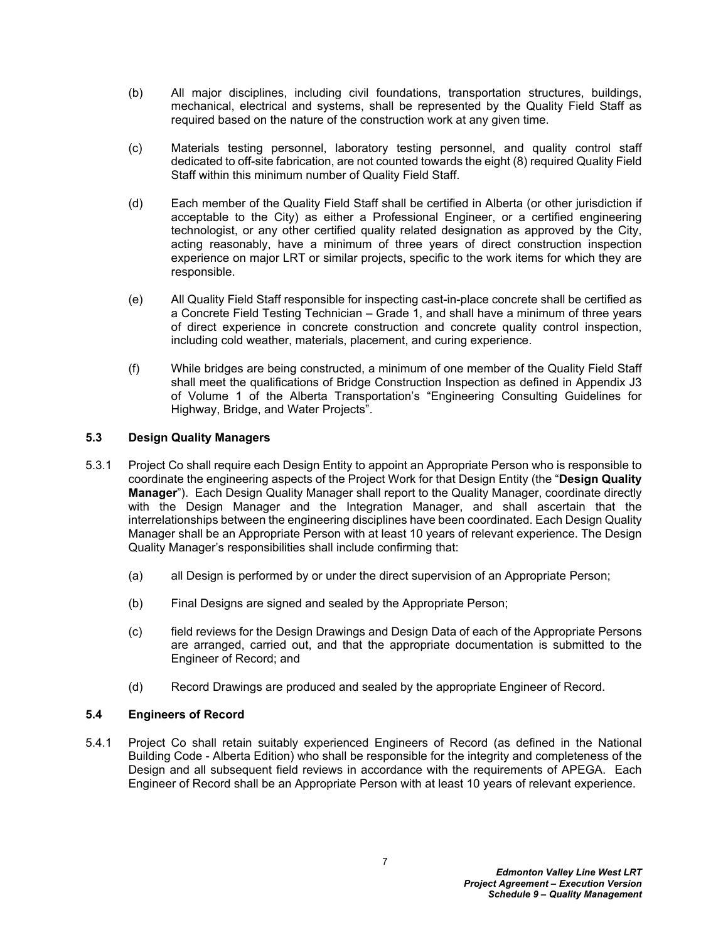- (b) All major disciplines, including civil foundations, transportation structures, buildings, mechanical, electrical and systems, shall be represented by the Quality Field Staff as required based on the nature of the construction work at any given time.
- (c) Materials testing personnel, laboratory testing personnel, and quality control staff dedicated to off-site fabrication, are not counted towards the eight (8) required Quality Field Staff within this minimum number of Quality Field Staff.
- (d) Each member of the Quality Field Staff shall be certified in Alberta (or other jurisdiction if acceptable to the City) as either a Professional Engineer, or a certified engineering technologist, or any other certified quality related designation as approved by the City, acting reasonably, have a minimum of three years of direct construction inspection experience on major LRT or similar projects, specific to the work items for which they are responsible.
- (e) All Quality Field Staff responsible for inspecting cast-in-place concrete shall be certified as a Concrete Field Testing Technician – Grade 1, and shall have a minimum of three years of direct experience in concrete construction and concrete quality control inspection, including cold weather, materials, placement, and curing experience.
- (f) While bridges are being constructed, a minimum of one member of the Quality Field Staff shall meet the qualifications of Bridge Construction Inspection as defined in Appendix J3 of Volume 1 of the Alberta Transportation's "Engineering Consulting Guidelines for Highway, Bridge, and Water Projects".

## <span id="page-9-0"></span>**5.3 Design Quality Managers**

- 5.3.1 Project Co shall require each Design Entity to appoint an Appropriate Person who is responsible to coordinate the engineering aspects of the Project Work for that Design Entity (the "**Design Quality Manager**"). Each Design Quality Manager shall report to the Quality Manager, coordinate directly with the Design Manager and the Integration Manager, and shall ascertain that the interrelationships between the engineering disciplines have been coordinated. Each Design Quality Manager shall be an Appropriate Person with at least 10 years of relevant experience. The Design Quality Manager's responsibilities shall include confirming that:
	- (a) all Design is performed by or under the direct supervision of an Appropriate Person;
	- (b) Final Designs are signed and sealed by the Appropriate Person;
	- (c) field reviews for the Design Drawings and Design Data of each of the Appropriate Persons are arranged, carried out, and that the appropriate documentation is submitted to the Engineer of Record; and
	- (d) Record Drawings are produced and sealed by the appropriate Engineer of Record.

## <span id="page-9-1"></span>**5.4 Engineers of Record**

5.4.1 Project Co shall retain suitably experienced Engineers of Record (as defined in the National Building Code - Alberta Edition) who shall be responsible for the integrity and completeness of the Design and all subsequent field reviews in accordance with the requirements of APEGA. Each Engineer of Record shall be an Appropriate Person with at least 10 years of relevant experience.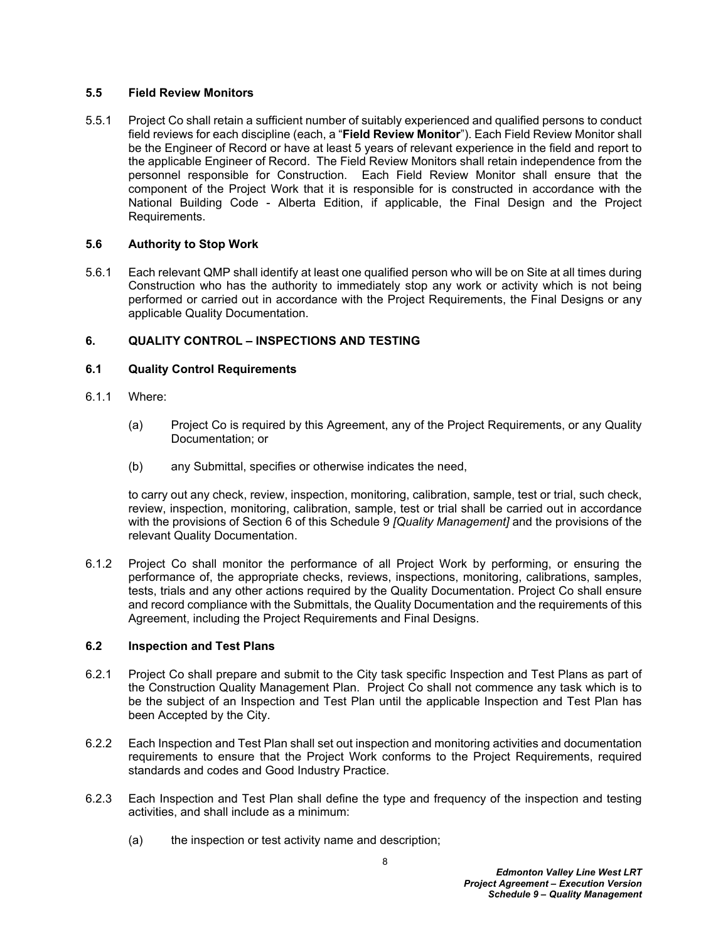## <span id="page-10-0"></span>**5.5 Field Review Monitors**

5.5.1 Project Co shall retain a sufficient number of suitably experienced and qualified persons to conduct field reviews for each discipline (each, a "**Field Review Monitor**"). Each Field Review Monitor shall be the Engineer of Record or have at least 5 years of relevant experience in the field and report to the applicable Engineer of Record. The Field Review Monitors shall retain independence from the personnel responsible for Construction. Each Field Review Monitor shall ensure that the component of the Project Work that it is responsible for is constructed in accordance with the National Building Code - Alberta Edition, if applicable, the Final Design and the Project Requirements.

## <span id="page-10-1"></span>**5.6 Authority to Stop Work**

5.6.1 Each relevant QMP shall identify at least one qualified person who will be on Site at all times during Construction who has the authority to immediately stop any work or activity which is not being performed or carried out in accordance with the Project Requirements, the Final Designs or any applicable Quality Documentation.

## <span id="page-10-2"></span>**6. QUALITY CONTROL – INSPECTIONS AND TESTING**

## <span id="page-10-3"></span>**6.1 Quality Control Requirements**

- 6.1.1 Where:
	- (a) Project Co is required by this Agreement, any of the Project Requirements, or any Quality Documentation; or
	- (b) any Submittal, specifies or otherwise indicates the need,

to carry out any check, review, inspection, monitoring, calibration, sample, test or trial, such check, review, inspection, monitoring, calibration, sample, test or trial shall be carried out in accordance with the provisions of Section [6](#page-10-2) of this Schedule 9 *[Quality Management]* and the provisions of the relevant Quality Documentation.

6.1.2 Project Co shall monitor the performance of all Project Work by performing, or ensuring the performance of, the appropriate checks, reviews, inspections, monitoring, calibrations, samples, tests, trials and any other actions required by the Quality Documentation. Project Co shall ensure and record compliance with the Submittals, the Quality Documentation and the requirements of this Agreement, including the Project Requirements and Final Designs.

#### <span id="page-10-4"></span>**6.2 Inspection and Test Plans**

- 6.2.1 Project Co shall prepare and submit to the City task specific Inspection and Test Plans as part of the Construction Quality Management Plan. Project Co shall not commence any task which is to be the subject of an Inspection and Test Plan until the applicable Inspection and Test Plan has been Accepted by the City.
- 6.2.2 Each Inspection and Test Plan shall set out inspection and monitoring activities and documentation requirements to ensure that the Project Work conforms to the Project Requirements, required standards and codes and Good Industry Practice.
- 6.2.3 Each Inspection and Test Plan shall define the type and frequency of the inspection and testing activities, and shall include as a minimum:
	- (a) the inspection or test activity name and description;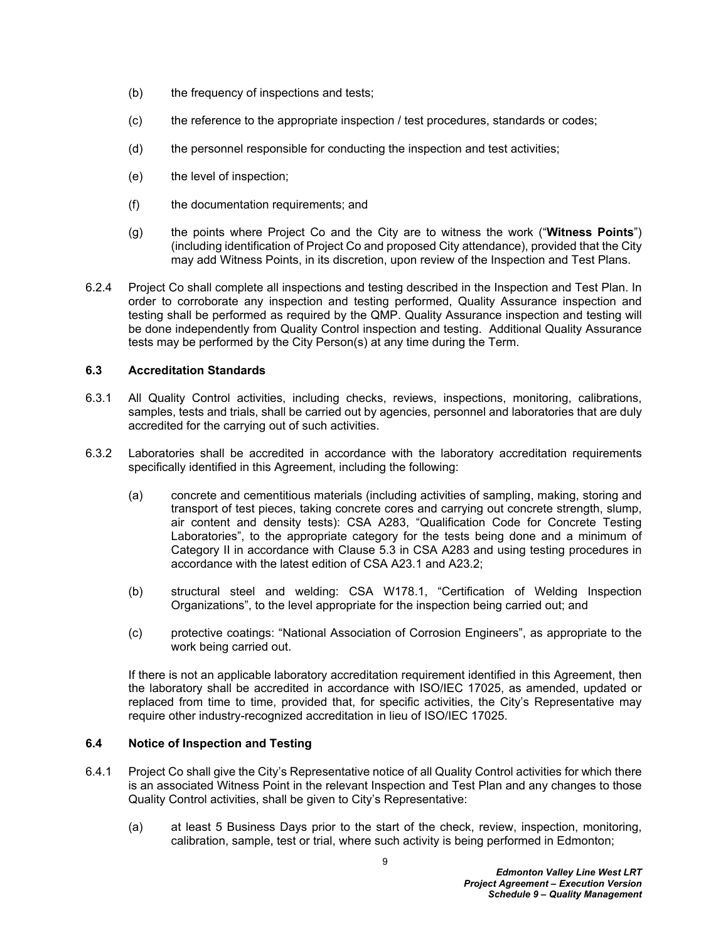- (b) the frequency of inspections and tests;
- (c) the reference to the appropriate inspection / test procedures, standards or codes;
- (d) the personnel responsible for conducting the inspection and test activities;
- (e) the level of inspection;
- (f) the documentation requirements; and
- (g) the points where Project Co and the City are to witness the work ("**Witness Points**") (including identification of Project Co and proposed City attendance), provided that the City may add Witness Points, in its discretion, upon review of the Inspection and Test Plans.
- 6.2.4 Project Co shall complete all inspections and testing described in the Inspection and Test Plan. In order to corroborate any inspection and testing performed, Quality Assurance inspection and testing shall be performed as required by the QMP. Quality Assurance inspection and testing will be done independently from Quality Control inspection and testing. Additional Quality Assurance tests may be performed by the City Person(s) at any time during the Term.

## <span id="page-11-0"></span>**6.3 Accreditation Standards**

- 6.3.1 All Quality Control activities, including checks, reviews, inspections, monitoring, calibrations, samples, tests and trials, shall be carried out by agencies, personnel and laboratories that are duly accredited for the carrying out of such activities.
- 6.3.2 Laboratories shall be accredited in accordance with the laboratory accreditation requirements specifically identified in this Agreement, including the following:
	- (a) concrete and cementitious materials (including activities of sampling, making, storing and transport of test pieces, taking concrete cores and carrying out concrete strength, slump, air content and density tests): CSA A283, "Qualification Code for Concrete Testing Laboratories", to the appropriate category for the tests being done and a minimum of Category II in accordance with Clause 5.3 in CSA A283 and using testing procedures in accordance with the latest edition of CSA A23.1 and A23.2;
	- (b) structural steel and welding: CSA W178.1, "Certification of Welding Inspection Organizations", to the level appropriate for the inspection being carried out; and
	- (c) protective coatings: "National Association of Corrosion Engineers", as appropriate to the work being carried out.

If there is not an applicable laboratory accreditation requirement identified in this Agreement, then the laboratory shall be accredited in accordance with ISO/IEC 17025, as amended, updated or replaced from time to time, provided that, for specific activities, the City's Representative may require other industry-recognized accreditation in lieu of ISO/IEC 17025.

#### <span id="page-11-1"></span>**6.4 Notice of Inspection and Testing**

- 6.4.1 Project Co shall give the City's Representative notice of all Quality Control activities for which there is an associated Witness Point in the relevant Inspection and Test Plan and any changes to those Quality Control activities, shall be given to City's Representative:
	- (a) at least 5 Business Days prior to the start of the check, review, inspection, monitoring, calibration, sample, test or trial, where such activity is being performed in Edmonton;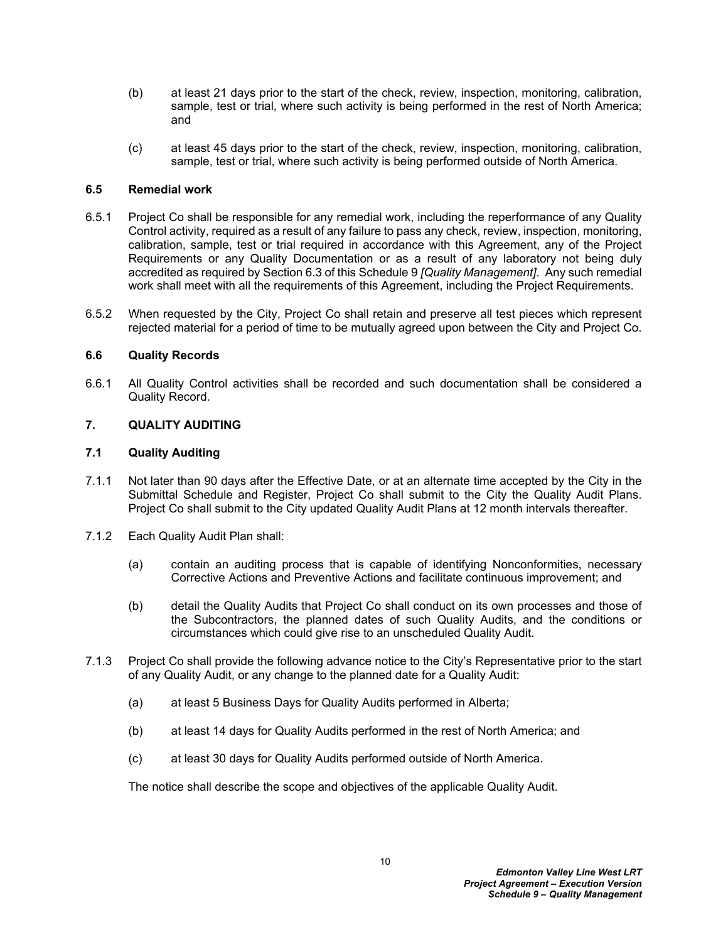- (b) at least 21 days prior to the start of the check, review, inspection, monitoring, calibration, sample, test or trial, where such activity is being performed in the rest of North America; and
- (c) at least 45 days prior to the start of the check, review, inspection, monitoring, calibration, sample, test or trial, where such activity is being performed outside of North America.

## <span id="page-12-0"></span>**6.5 Remedial work**

- 6.5.1 Project Co shall be responsible for any remedial work, including the reperformance of any Quality Control activity, required as a result of any failure to pass any check, review, inspection, monitoring, calibration, sample, test or trial required in accordance with this Agreement, any of the Project Requirements or any Quality Documentation or as a result of any laboratory not being duly accredited as required by Section [6.3](#page-11-0) of this Schedule 9 *[Quality Management]*. Any such remedial work shall meet with all the requirements of this Agreement, including the Project Requirements.
- 6.5.2 When requested by the City, Project Co shall retain and preserve all test pieces which represent rejected material for a period of time to be mutually agreed upon between the City and Project Co.

## <span id="page-12-1"></span>**6.6 Quality Records**

6.6.1 All Quality Control activities shall be recorded and such documentation shall be considered a Quality Record.

## <span id="page-12-2"></span>**7. QUALITY AUDITING**

## <span id="page-12-3"></span>**7.1 Quality Auditing**

- 7.1.1 Not later than 90 days after the Effective Date, or at an alternate time accepted by the City in the Submittal Schedule and Register, Project Co shall submit to the City the Quality Audit Plans. Project Co shall submit to the City updated Quality Audit Plans at 12 month intervals thereafter.
- 7.1.2 Each Quality Audit Plan shall:
	- (a) contain an auditing process that is capable of identifying Nonconformities, necessary Corrective Actions and Preventive Actions and facilitate continuous improvement; and
	- (b) detail the Quality Audits that Project Co shall conduct on its own processes and those of the Subcontractors, the planned dates of such Quality Audits, and the conditions or circumstances which could give rise to an unscheduled Quality Audit.
- 7.1.3 Project Co shall provide the following advance notice to the City's Representative prior to the start of any Quality Audit, or any change to the planned date for a Quality Audit:
	- (a) at least 5 Business Days for Quality Audits performed in Alberta;
	- (b) at least 14 days for Quality Audits performed in the rest of North America; and
	- (c) at least 30 days for Quality Audits performed outside of North America.

The notice shall describe the scope and objectives of the applicable Quality Audit.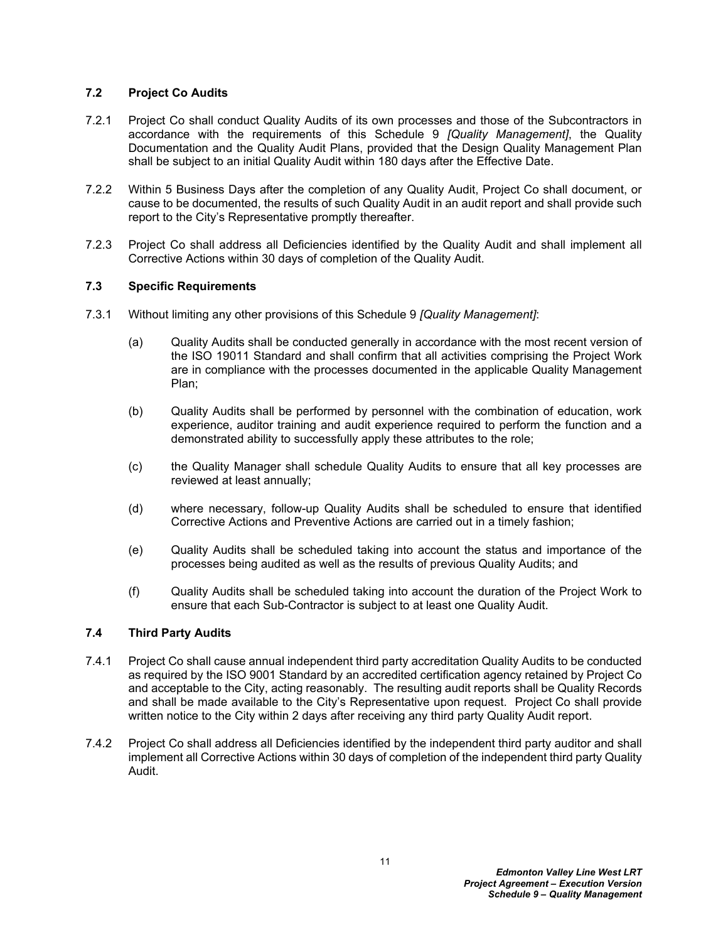## <span id="page-13-0"></span>**7.2 Project Co Audits**

- 7.2.1 Project Co shall conduct Quality Audits of its own processes and those of the Subcontractors in accordance with the requirements of this Schedule 9 *[Quality Management]*, the Quality Documentation and the Quality Audit Plans, provided that the Design Quality Management Plan shall be subject to an initial Quality Audit within 180 days after the Effective Date.
- 7.2.2 Within 5 Business Days after the completion of any Quality Audit, Project Co shall document, or cause to be documented, the results of such Quality Audit in an audit report and shall provide such report to the City's Representative promptly thereafter.
- 7.2.3 Project Co shall address all Deficiencies identified by the Quality Audit and shall implement all Corrective Actions within 30 days of completion of the Quality Audit.

## <span id="page-13-1"></span>**7.3 Specific Requirements**

- 7.3.1 Without limiting any other provisions of this Schedule 9 *[Quality Management]*:
	- (a) Quality Audits shall be conducted generally in accordance with the most recent version of the ISO 19011 Standard and shall confirm that all activities comprising the Project Work are in compliance with the processes documented in the applicable Quality Management Plan;
	- (b) Quality Audits shall be performed by personnel with the combination of education, work experience, auditor training and audit experience required to perform the function and a demonstrated ability to successfully apply these attributes to the role;
	- (c) the Quality Manager shall schedule Quality Audits to ensure that all key processes are reviewed at least annually;
	- (d) where necessary, follow-up Quality Audits shall be scheduled to ensure that identified Corrective Actions and Preventive Actions are carried out in a timely fashion;
	- (e) Quality Audits shall be scheduled taking into account the status and importance of the processes being audited as well as the results of previous Quality Audits; and
	- (f) Quality Audits shall be scheduled taking into account the duration of the Project Work to ensure that each Sub-Contractor is subject to at least one Quality Audit.

## <span id="page-13-2"></span>**7.4 Third Party Audits**

- 7.4.1 Project Co shall cause annual independent third party accreditation Quality Audits to be conducted as required by the ISO 9001 Standard by an accredited certification agency retained by Project Co and acceptable to the City, acting reasonably. The resulting audit reports shall be Quality Records and shall be made available to the City's Representative upon request. Project Co shall provide written notice to the City within 2 days after receiving any third party Quality Audit report.
- 7.4.2 Project Co shall address all Deficiencies identified by the independent third party auditor and shall implement all Corrective Actions within 30 days of completion of the independent third party Quality Audit.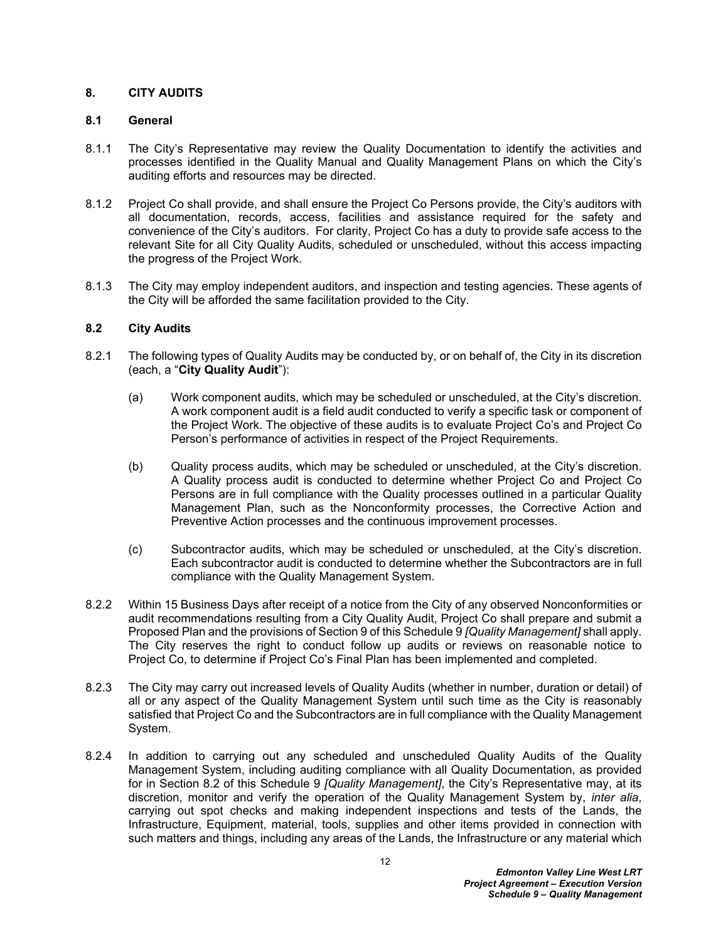## <span id="page-14-0"></span>**8. CITY AUDITS**

### <span id="page-14-1"></span>**8.1 General**

- 8.1.1 The City's Representative may review the Quality Documentation to identify the activities and processes identified in the Quality Manual and Quality Management Plans on which the City's auditing efforts and resources may be directed.
- 8.1.2 Project Co shall provide, and shall ensure the Project Co Persons provide, the City's auditors with all documentation, records, access, facilities and assistance required for the safety and convenience of the City's auditors. For clarity, Project Co has a duty to provide safe access to the relevant Site for all City Quality Audits, scheduled or unscheduled, without this access impacting the progress of the Project Work.
- 8.1.3 The City may employ independent auditors, and inspection and testing agencies. These agents of the City will be afforded the same facilitation provided to the City.

## <span id="page-14-2"></span>**8.2 City Audits**

- 8.2.1 The following types of Quality Audits may be conducted by, or on behalf of, the City in its discretion (each, a "**City Quality Audit**"):
	- (a) Work component audits, which may be scheduled or unscheduled, at the City's discretion. A work component audit is a field audit conducted to verify a specific task or component of the Project Work. The objective of these audits is to evaluate Project Co's and Project Co Person's performance of activities in respect of the Project Requirements.
	- (b) Quality process audits, which may be scheduled or unscheduled, at the City's discretion. A Quality process audit is conducted to determine whether Project Co and Project Co Persons are in full compliance with the Quality processes outlined in a particular Quality Management Plan, such as the Nonconformity processes, the Corrective Action and Preventive Action processes and the continuous improvement processes.
	- (c) Subcontractor audits, which may be scheduled or unscheduled, at the City's discretion. Each subcontractor audit is conducted to determine whether the Subcontractors are in full compliance with the Quality Management System.
- 8.2.2 Within 15 Business Days after receipt of a notice from the City of any observed Nonconformities or audit recommendations resulting from a City Quality Audit, Project Co shall prepare and submit a Proposed Plan and the provisions of Section [9](#page-15-1) of this Schedule 9 *[Quality Management]* shall apply. The City reserves the right to conduct follow up audits or reviews on reasonable notice to Project Co, to determine if Project Co's Final Plan has been implemented and completed.
- 8.2.3 The City may carry out increased levels of Quality Audits (whether in number, duration or detail) of all or any aspect of the Quality Management System until such time as the City is reasonably satisfied that Project Co and the Subcontractors are in full compliance with the Quality Management System.
- 8.2.4 In addition to carrying out any scheduled and unscheduled Quality Audits of the Quality Management System, including auditing compliance with all Quality Documentation, as provided for in Section [8.2](#page-14-2) of this Schedule 9 *[Quality Management]*, the City's Representative may, at its discretion, monitor and verify the operation of the Quality Management System by, *inter alia*, carrying out spot checks and making independent inspections and tests of the Lands, the Infrastructure, Equipment, material, tools, supplies and other items provided in connection with such matters and things, including any areas of the Lands, the Infrastructure or any material which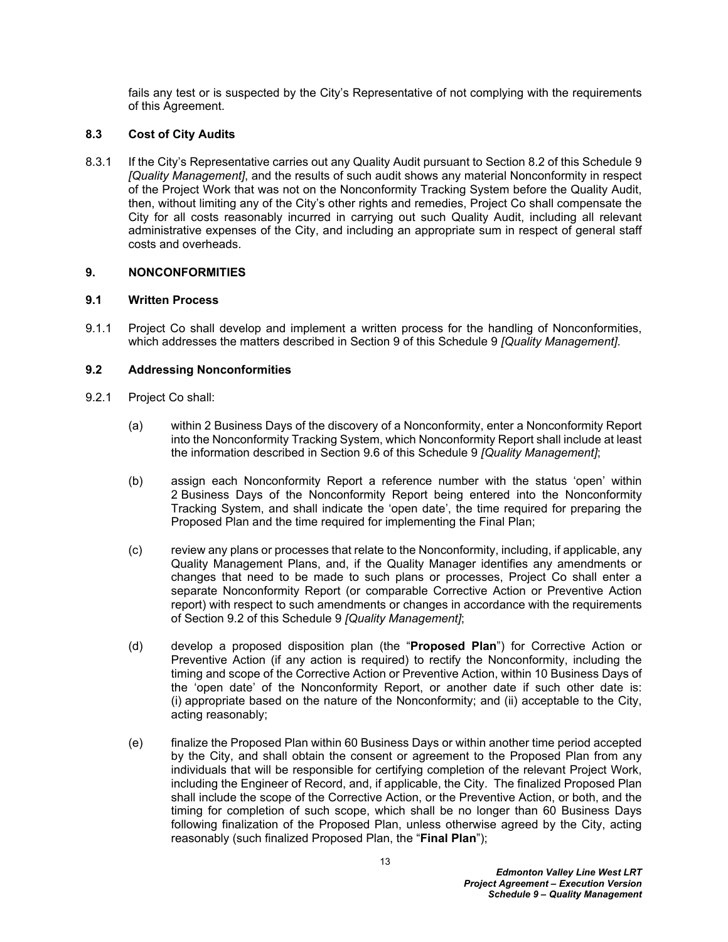fails any test or is suspected by the City's Representative of not complying with the requirements of this Agreement.

## <span id="page-15-0"></span>**8.3 Cost of City Audits**

8.3.1 If the City's Representative carries out any Quality Audit pursuant to Section [8.2](#page-14-2) of this Schedule 9 *[Quality Management]*, and the results of such audit shows any material Nonconformity in respect of the Project Work that was not on the Nonconformity Tracking System before the Quality Audit, then, without limiting any of the City's other rights and remedies, Project Co shall compensate the City for all costs reasonably incurred in carrying out such Quality Audit, including all relevant administrative expenses of the City, and including an appropriate sum in respect of general staff costs and overheads.

## <span id="page-15-1"></span>**9. NONCONFORMITIES**

## <span id="page-15-2"></span>**9.1 Written Process**

9.1.1 Project Co shall develop and implement a written process for the handling of Nonconformities, which addresses the matters described in Section [9](#page-15-1) of this Schedule 9 *[Quality Management]*.

## <span id="page-15-3"></span>**9.2 Addressing Nonconformities**

- <span id="page-15-5"></span><span id="page-15-4"></span>9.2.1 Project Co shall:
	- (a) within 2 Business Days of the discovery of a Nonconformity, enter a Nonconformity Report into the Nonconformity Tracking System, which Nonconformity Report shall include at least the information described in Section [9.6](#page-18-1) of this Schedule 9 *[Quality Management]*;
	- (b) assign each Nonconformity Report a reference number with the status 'open' within 2 Business Days of the Nonconformity Report being entered into the Nonconformity Tracking System, and shall indicate the 'open date', the time required for preparing the Proposed Plan and the time required for implementing the Final Plan;
	- (c) review any plans or processes that relate to the Nonconformity, including, if applicable, any Quality Management Plans, and, if the Quality Manager identifies any amendments or changes that need to be made to such plans or processes, Project Co shall enter a separate Nonconformity Report (or comparable Corrective Action or Preventive Action report) with respect to such amendments or changes in accordance with the requirements of Section [9.2](#page-15-3) of this Schedule 9 *[Quality Management]*;
	- (d) develop a proposed disposition plan (the "**Proposed Plan**") for Corrective Action or Preventive Action (if any action is required) to rectify the Nonconformity, including the timing and scope of the Corrective Action or Preventive Action, within 10 Business Days of the 'open date' of the Nonconformity Report, or another date if such other date is: (i) appropriate based on the nature of the Nonconformity; and (ii) acceptable to the City, acting reasonably;
	- (e) finalize the Proposed Plan within 60 Business Days or within another time period accepted by the City, and shall obtain the consent or agreement to the Proposed Plan from any individuals that will be responsible for certifying completion of the relevant Project Work, including the Engineer of Record, and, if applicable, the City. The finalized Proposed Plan shall include the scope of the Corrective Action, or the Preventive Action, or both, and the timing for completion of such scope, which shall be no longer than 60 Business Days following finalization of the Proposed Plan, unless otherwise agreed by the City, acting reasonably (such finalized Proposed Plan, the "**Final Plan**");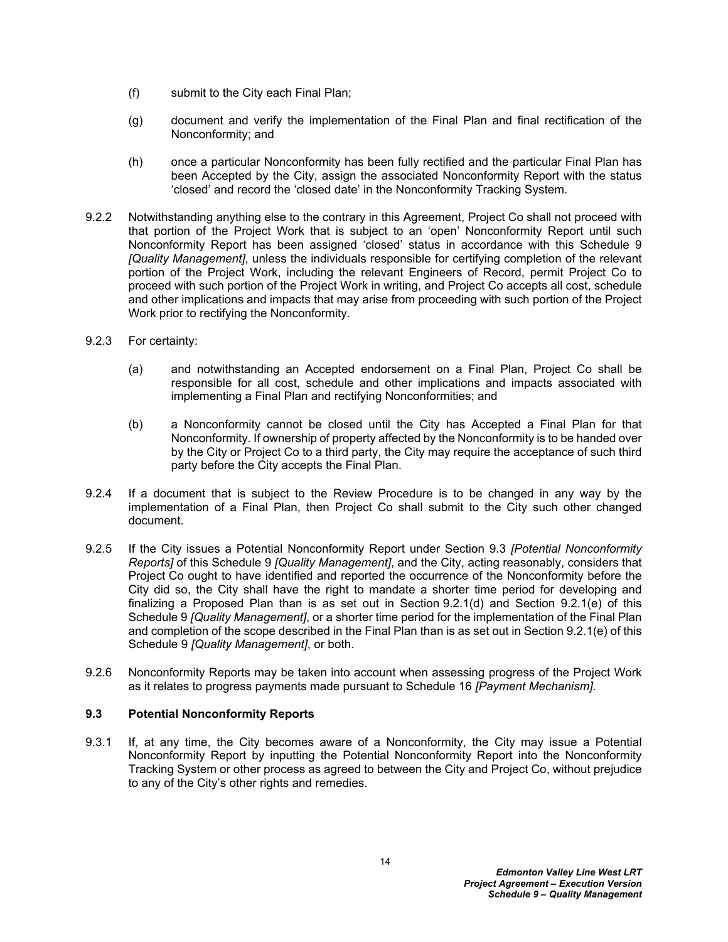- (f) submit to the City each Final Plan;
- (g) document and verify the implementation of the Final Plan and final rectification of the Nonconformity; and
- (h) once a particular Nonconformity has been fully rectified and the particular Final Plan has been Accepted by the City, assign the associated Nonconformity Report with the status 'closed' and record the 'closed date' in the Nonconformity Tracking System.
- <span id="page-16-2"></span>9.2.2 Notwithstanding anything else to the contrary in this Agreement, Project Co shall not proceed with that portion of the Project Work that is subject to an 'open' Nonconformity Report until such Nonconformity Report has been assigned 'closed' status in accordance with this Schedule 9 *[Quality Management]*, unless the individuals responsible for certifying completion of the relevant portion of the Project Work, including the relevant Engineers of Record, permit Project Co to proceed with such portion of the Project Work in writing, and Project Co accepts all cost, schedule and other implications and impacts that may arise from proceeding with such portion of the Project Work prior to rectifying the Nonconformity.
- 9.2.3 For certainty:
	- (a) and notwithstanding an Accepted endorsement on a Final Plan, Project Co shall be responsible for all cost, schedule and other implications and impacts associated with implementing a Final Plan and rectifying Nonconformities; and
	- (b) a Nonconformity cannot be closed until the City has Accepted a Final Plan for that Nonconformity. If ownership of property affected by the Nonconformity is to be handed over by the City or Project Co to a third party, the City may require the acceptance of such third party before the City accepts the Final Plan.
- 9.2.4 If a document that is subject to the Review Procedure is to be changed in any way by the implementation of a Final Plan, then Project Co shall submit to the City such other changed document.
- <span id="page-16-1"></span>9.2.5 If the City issues a Potential Nonconformity Report under Section [9.3](#page-16-0) *[Potential Nonconformity Reports]* of this Schedule 9 *[Quality Management]*, and the City, acting reasonably, considers that Project Co ought to have identified and reported the occurrence of the Nonconformity before the City did so, the City shall have the right to mandate a shorter time period for developing and finalizing a Proposed Plan than is as set out in Section [9.2.1\(d\)](#page-15-4) and Section [9.2.1\(e\)](#page-15-5) of this Schedule 9 *[Quality Management]*, or a shorter time period for the implementation of the Final Plan and completion of the scope described in the Final Plan than is as set out in Section [9.2.1\(e\)](#page-15-5) of this Schedule 9 *[Quality Management]*, or both.
- 9.2.6 Nonconformity Reports may be taken into account when assessing progress of the Project Work as it relates to progress payments made pursuant to Schedule 16 *[Payment Mechanism]*.

## <span id="page-16-0"></span>**9.3 Potential Nonconformity Reports**

9.3.1 If, at any time, the City becomes aware of a Nonconformity, the City may issue a Potential Nonconformity Report by inputting the Potential Nonconformity Report into the Nonconformity Tracking System or other process as agreed to between the City and Project Co, without prejudice to any of the City's other rights and remedies.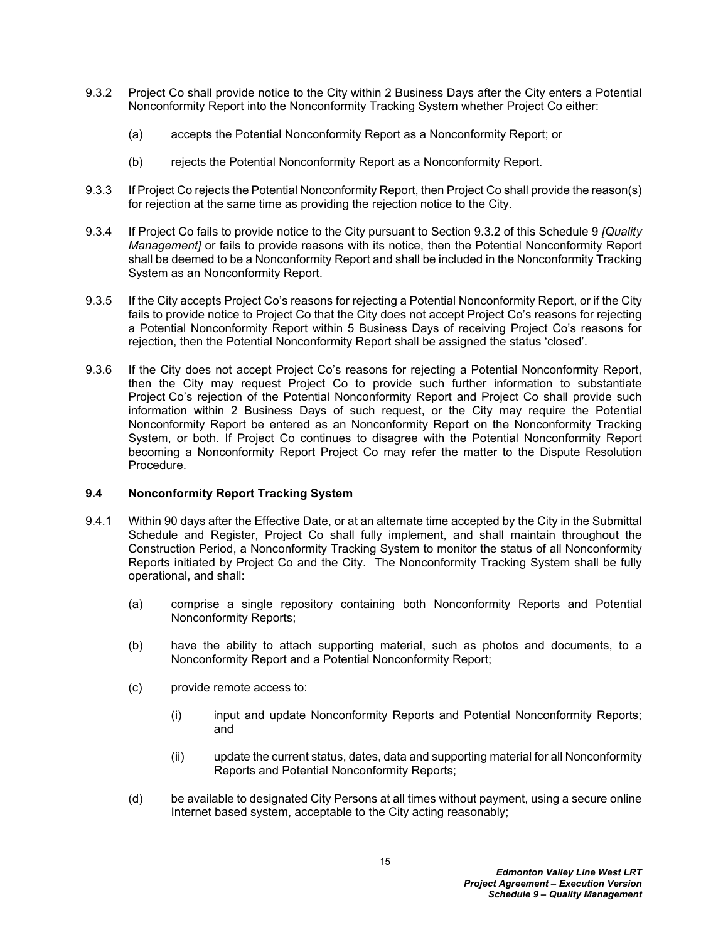- <span id="page-17-1"></span>9.3.2 Project Co shall provide notice to the City within 2 Business Days after the City enters a Potential Nonconformity Report into the Nonconformity Tracking System whether Project Co either:
	- (a) accepts the Potential Nonconformity Report as a Nonconformity Report; or
	- (b) rejects the Potential Nonconformity Report as a Nonconformity Report.
- 9.3.3 If Project Co rejects the Potential Nonconformity Report, then Project Co shall provide the reason(s) for rejection at the same time as providing the rejection notice to the City.
- 9.3.4 If Project Co fails to provide notice to the City pursuant to Section [9.3.2](#page-17-1) of this Schedule 9 *[Quality Management]* or fails to provide reasons with its notice, then the Potential Nonconformity Report shall be deemed to be a Nonconformity Report and shall be included in the Nonconformity Tracking System as an Nonconformity Report.
- 9.3.5 If the City accepts Project Co's reasons for rejecting a Potential Nonconformity Report, or if the City fails to provide notice to Project Co that the City does not accept Project Co's reasons for rejecting a Potential Nonconformity Report within 5 Business Days of receiving Project Co's reasons for rejection, then the Potential Nonconformity Report shall be assigned the status 'closed'.
- 9.3.6 If the City does not accept Project Co's reasons for rejecting a Potential Nonconformity Report, then the City may request Project Co to provide such further information to substantiate Project Co's rejection of the Potential Nonconformity Report and Project Co shall provide such information within 2 Business Days of such request, or the City may require the Potential Nonconformity Report be entered as an Nonconformity Report on the Nonconformity Tracking System, or both. If Project Co continues to disagree with the Potential Nonconformity Report becoming a Nonconformity Report Project Co may refer the matter to the Dispute Resolution Procedure.

## <span id="page-17-0"></span>**9.4 Nonconformity Report Tracking System**

- 9.4.1 Within 90 days after the Effective Date, or at an alternate time accepted by the City in the Submittal Schedule and Register, Project Co shall fully implement, and shall maintain throughout the Construction Period, a Nonconformity Tracking System to monitor the status of all Nonconformity Reports initiated by Project Co and the City. The Nonconformity Tracking System shall be fully operational, and shall:
	- (a) comprise a single repository containing both Nonconformity Reports and Potential Nonconformity Reports;
	- (b) have the ability to attach supporting material, such as photos and documents, to a Nonconformity Report and a Potential Nonconformity Report;
	- (c) provide remote access to:
		- (i) input and update Nonconformity Reports and Potential Nonconformity Reports; and
		- (ii) update the current status, dates, data and supporting material for all Nonconformity Reports and Potential Nonconformity Reports;
	- (d) be available to designated City Persons at all times without payment, using a secure online Internet based system, acceptable to the City acting reasonably;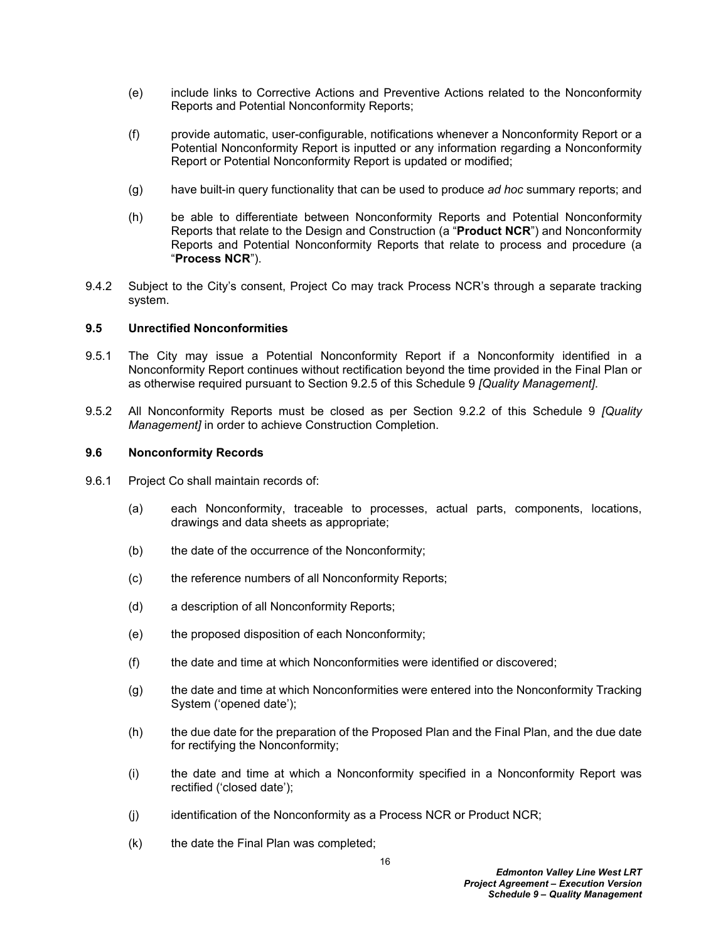- (e) include links to Corrective Actions and Preventive Actions related to the Nonconformity Reports and Potential Nonconformity Reports;
- (f) provide automatic, user-configurable, notifications whenever a Nonconformity Report or a Potential Nonconformity Report is inputted or any information regarding a Nonconformity Report or Potential Nonconformity Report is updated or modified;
- (g) have built-in query functionality that can be used to produce *ad hoc* summary reports; and
- (h) be able to differentiate between Nonconformity Reports and Potential Nonconformity Reports that relate to the Design and Construction (a "**Product NCR**") and Nonconformity Reports and Potential Nonconformity Reports that relate to process and procedure (a "**Process NCR**").
- 9.4.2 Subject to the City's consent, Project Co may track Process NCR's through a separate tracking system.

## <span id="page-18-0"></span>**9.5 Unrectified Nonconformities**

- 9.5.1 The City may issue a Potential Nonconformity Report if a Nonconformity identified in a Nonconformity Report continues without rectification beyond the time provided in the Final Plan or as otherwise required pursuant to Section [9.2.5](#page-16-1) of this Schedule 9 *[Quality Management]*.
- 9.5.2 All Nonconformity Reports must be closed as per Section [9.2.2](#page-16-2) of this Schedule 9 *[Quality Management]* in order to achieve Construction Completion.

#### <span id="page-18-1"></span>**9.6 Nonconformity Records**

- 9.6.1 Project Co shall maintain records of:
	- (a) each Nonconformity, traceable to processes, actual parts, components, locations, drawings and data sheets as appropriate;
	- (b) the date of the occurrence of the Nonconformity;
	- (c) the reference numbers of all Nonconformity Reports;
	- (d) a description of all Nonconformity Reports;
	- (e) the proposed disposition of each Nonconformity;
	- (f) the date and time at which Nonconformities were identified or discovered;
	- (g) the date and time at which Nonconformities were entered into the Nonconformity Tracking System ('opened date');
	- (h) the due date for the preparation of the Proposed Plan and the Final Plan, and the due date for rectifying the Nonconformity;
	- (i) the date and time at which a Nonconformity specified in a Nonconformity Report was rectified ('closed date');
	- (j) identification of the Nonconformity as a Process NCR or Product NCR;
	- (k) the date the Final Plan was completed;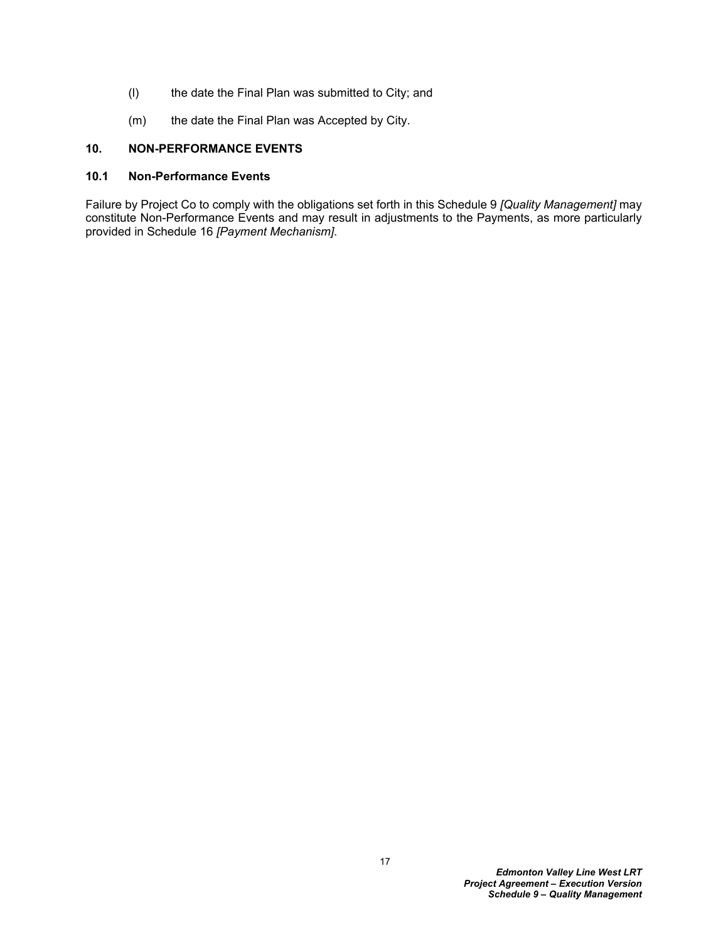- (l) the date the Final Plan was submitted to City; and
- (m) the date the Final Plan was Accepted by City.

## <span id="page-19-0"></span>**10. NON-PERFORMANCE EVENTS**

## <span id="page-19-1"></span>**10.1 Non-Performance Events**

Failure by Project Co to comply with the obligations set forth in this Schedule 9 *[Quality Management]* may constitute Non-Performance Events and may result in adjustments to the Payments, as more particularly provided in Schedule 16 *[Payment Mechanism]*.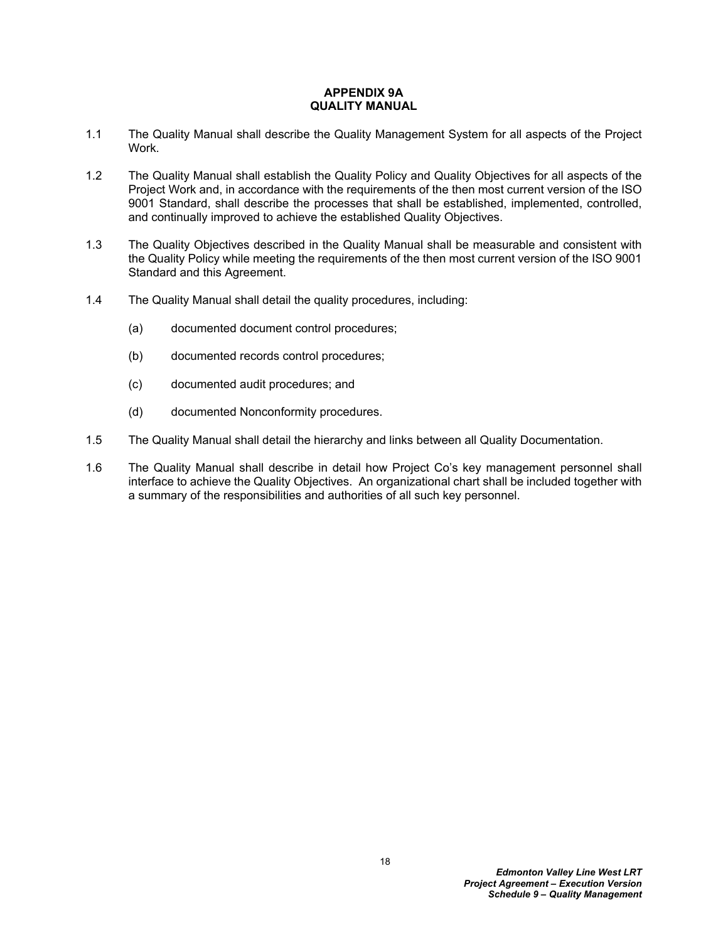#### <span id="page-20-0"></span>**APPENDIX 9A QUALITY MANUAL**

- 1.1 The Quality Manual shall describe the Quality Management System for all aspects of the Project Work.
- 1.2 The Quality Manual shall establish the Quality Policy and Quality Objectives for all aspects of the Project Work and, in accordance with the requirements of the then most current version of the ISO 9001 Standard, shall describe the processes that shall be established, implemented, controlled, and continually improved to achieve the established Quality Objectives.
- 1.3 The Quality Objectives described in the Quality Manual shall be measurable and consistent with the Quality Policy while meeting the requirements of the then most current version of the ISO 9001 Standard and this Agreement.
- 1.4 The Quality Manual shall detail the quality procedures, including:
	- (a) documented document control procedures;
	- (b) documented records control procedures;
	- (c) documented audit procedures; and
	- (d) documented Nonconformity procedures.
- 1.5 The Quality Manual shall detail the hierarchy and links between all Quality Documentation.
- 1.6 The Quality Manual shall describe in detail how Project Co's key management personnel shall interface to achieve the Quality Objectives. An organizational chart shall be included together with a summary of the responsibilities and authorities of all such key personnel.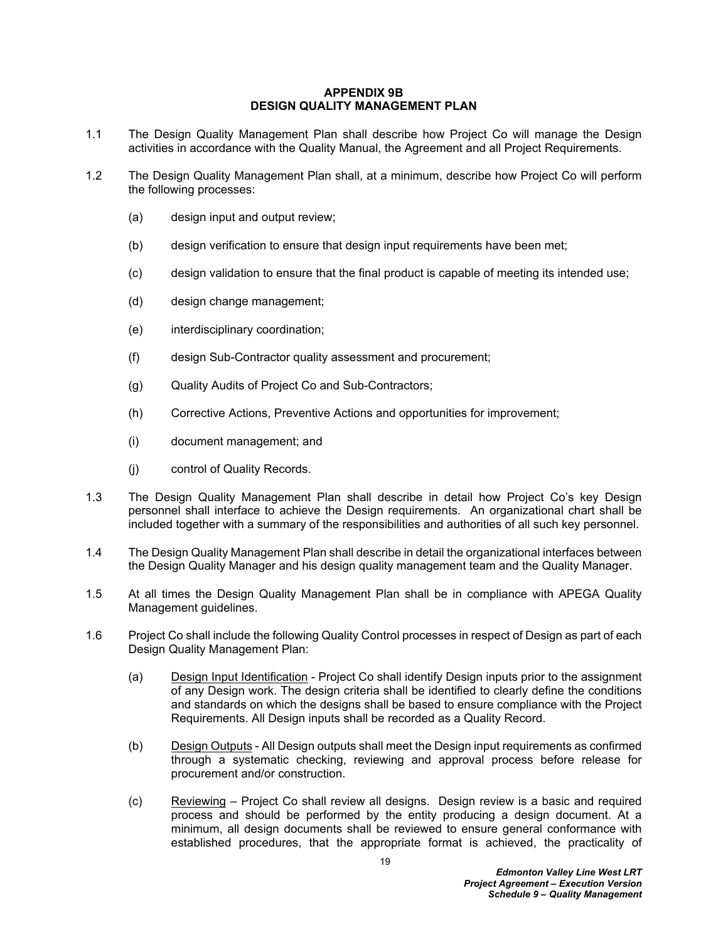#### <span id="page-21-0"></span>**APPENDIX 9B DESIGN QUALITY MANAGEMENT PLAN**

- 1.1 The Design Quality Management Plan shall describe how Project Co will manage the Design activities in accordance with the Quality Manual, the Agreement and all Project Requirements.
- 1.2 The Design Quality Management Plan shall, at a minimum, describe how Project Co will perform the following processes:
	- (a) design input and output review;
	- (b) design verification to ensure that design input requirements have been met;
	- (c) design validation to ensure that the final product is capable of meeting its intended use;
	- (d) design change management;
	- (e) interdisciplinary coordination;
	- (f) design Sub-Contractor quality assessment and procurement;
	- (g) Quality Audits of Project Co and Sub-Contractors;
	- (h) Corrective Actions, Preventive Actions and opportunities for improvement;
	- (i) document management; and
	- (j) control of Quality Records.
- 1.3 The Design Quality Management Plan shall describe in detail how Project Co's key Design personnel shall interface to achieve the Design requirements. An organizational chart shall be included together with a summary of the responsibilities and authorities of all such key personnel.
- 1.4 The Design Quality Management Plan shall describe in detail the organizational interfaces between the Design Quality Manager and his design quality management team and the Quality Manager.
- 1.5 At all times the Design Quality Management Plan shall be in compliance with APEGA Quality Management guidelines.
- 1.6 Project Co shall include the following Quality Control processes in respect of Design as part of each Design Quality Management Plan:
	- (a) Design Input Identification Project Co shall identify Design inputs prior to the assignment of any Design work. The design criteria shall be identified to clearly define the conditions and standards on which the designs shall be based to ensure compliance with the Project Requirements. All Design inputs shall be recorded as a Quality Record.
	- (b) Design Outputs All Design outputs shall meet the Design input requirements as confirmed through a systematic checking, reviewing and approval process before release for procurement and/or construction.
	- (c) Reviewing Project Co shall review all designs. Design review is a basic and required process and should be performed by the entity producing a design document. At a minimum, all design documents shall be reviewed to ensure general conformance with established procedures, that the appropriate format is achieved, the practicality of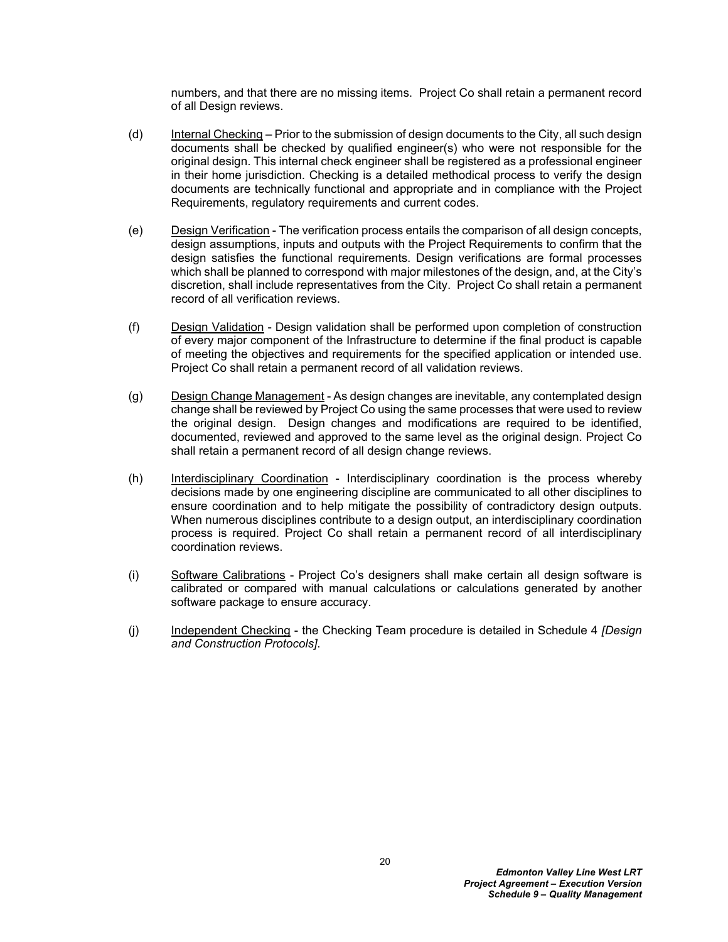numbers, and that there are no missing items. Project Co shall retain a permanent record of all Design reviews.

- (d) Internal Checking Prior to the submission of design documents to the City, all such design documents shall be checked by qualified engineer(s) who were not responsible for the original design. This internal check engineer shall be registered as a professional engineer in their home jurisdiction. Checking is a detailed methodical process to verify the design documents are technically functional and appropriate and in compliance with the Project Requirements, regulatory requirements and current codes.
- (e) Design Verification The verification process entails the comparison of all design concepts, design assumptions, inputs and outputs with the Project Requirements to confirm that the design satisfies the functional requirements. Design verifications are formal processes which shall be planned to correspond with major milestones of the design, and, at the City's discretion, shall include representatives from the City. Project Co shall retain a permanent record of all verification reviews.
- (f) Design Validation Design validation shall be performed upon completion of construction of every major component of the Infrastructure to determine if the final product is capable of meeting the objectives and requirements for the specified application or intended use. Project Co shall retain a permanent record of all validation reviews.
- (g) Design Change Management As design changes are inevitable, any contemplated design change shall be reviewed by Project Co using the same processes that were used to review the original design. Design changes and modifications are required to be identified, documented, reviewed and approved to the same level as the original design. Project Co shall retain a permanent record of all design change reviews.
- (h) Interdisciplinary Coordination Interdisciplinary coordination is the process whereby decisions made by one engineering discipline are communicated to all other disciplines to ensure coordination and to help mitigate the possibility of contradictory design outputs. When numerous disciplines contribute to a design output, an interdisciplinary coordination process is required. Project Co shall retain a permanent record of all interdisciplinary coordination reviews.
- (i) Software Calibrations Project Co's designers shall make certain all design software is calibrated or compared with manual calculations or calculations generated by another software package to ensure accuracy.
- (j) Independent Checking the Checking Team procedure is detailed in Schedule 4 *[Design and Construction Protocols]*.